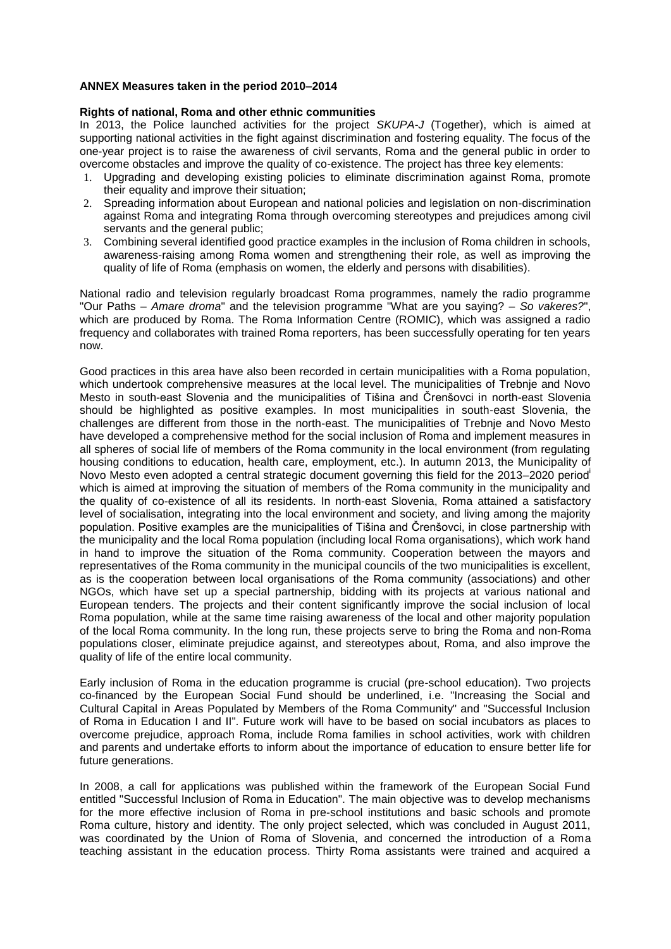# **ANNEX Measures taken in the period 2010–2014**

# **Rights of national, Roma and other ethnic communities**

In 2013, the Police launched activities for the project *SKUPA-J* (Together), which is aimed at supporting national activities in the fight against discrimination and fostering equality. The focus of the one-year project is to raise the awareness of civil servants, Roma and the general public in order to overcome obstacles and improve the quality of co-existence. The project has three key elements:

- 1. Upgrading and developing existing policies to eliminate discrimination against Roma, promote their equality and improve their situation;
- 2. Spreading information about European and national policies and legislation on non-discrimination against Roma and integrating Roma through overcoming stereotypes and prejudices among civil servants and the general public;
- 3. Combining several identified good practice examples in the inclusion of Roma children in schools, awareness-raising among Roma women and strengthening their role, as well as improving the quality of life of Roma (emphasis on women, the elderly and persons with disabilities).

National radio and television regularly broadcast Roma programmes, namely the radio programme "Our Paths – *Amare droma*" and the television programme "What are you saying? – *So vakeres?*", which are produced by Roma. The Roma Information Centre (ROMIC), which was assigned a radio frequency and collaborates with trained Roma reporters, has been successfully operating for ten years now.

Good practices in this area have also been recorded in certain municipalities with a Roma population, which undertook comprehensive measures at the local level. The municipalities of Trebnje and Novo Mesto in south-east Slovenia and the municipalities of Tišina and Črenšovci in north-east Slovenia should be highlighted as positive examples. In most municipalities in south-east Slovenia, the challenges are different from those in the north-east. The municipalities of Trebnje and Novo Mesto have developed a comprehensive method for the social inclusion of Roma and implement measures in all spheres of social life of members of the Roma community in the local environment (from regulating housing conditions to education, health care, employment, etc.). In autumn 2013, the Municipality of Novo Mesto even adopted a central strategic document governing this field for the 2013–2020 period<sup>i</sup> which is aimed at improving the situation of members of the Roma community in the municipality and the quality of co-existence of all its residents. In north-east Slovenia, Roma attained a satisfactory level of socialisation, integrating into the local environment and society, and living among the majority population. Positive examples are the municipalities of Tišina and Črenšovci, in close partnership with the municipality and the local Roma population (including local Roma organisations), which work hand in hand to improve the situation of the Roma community. Cooperation between the mayors and representatives of the Roma community in the municipal councils of the two municipalities is excellent, as is the cooperation between local organisations of the Roma community (associations) and other NGOs, which have set up a special partnership, bidding with its projects at various national and European tenders. The projects and their content significantly improve the social inclusion of local Roma population, while at the same time raising awareness of the local and other majority population of the local Roma community. In the long run, these projects serve to bring the Roma and non-Roma populations closer, eliminate prejudice against, and stereotypes about, Roma, and also improve the quality of life of the entire local community.

Early inclusion of Roma in the education programme is crucial (pre-school education). Two projects co-financed by the European Social Fund should be underlined, i.e. "Increasing the Social and Cultural Capital in Areas Populated by Members of the Roma Community" and "Successful Inclusion of Roma in Education I and II". Future work will have to be based on social incubators as places to overcome prejudice, approach Roma, include Roma families in school activities, work with children and parents and undertake efforts to inform about the importance of education to ensure better life for future generations.

In 2008, a call for applications was published within the framework of the European Social Fund entitled "Successful Inclusion of Roma in Education". The main objective was to develop mechanisms for the more effective inclusion of Roma in pre-school institutions and basic schools and promote Roma culture, history and identity. The only project selected, which was concluded in August 2011, was coordinated by the Union of Roma of Slovenia, and concerned the introduction of a Roma teaching assistant in the education process. Thirty Roma assistants were trained and acquired a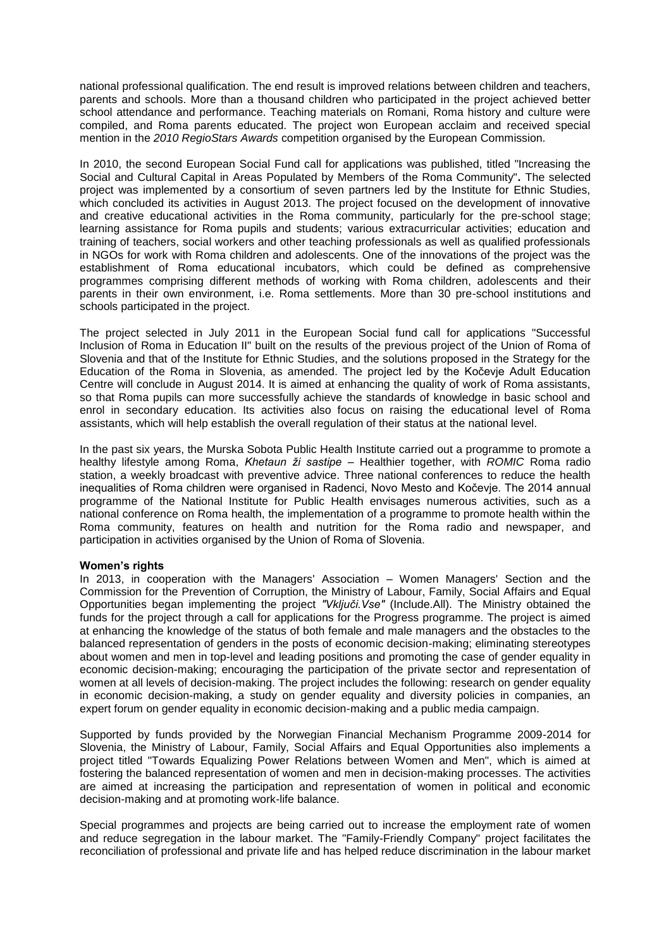national professional qualification. The end result is improved relations between children and teachers, parents and schools. More than a thousand children who participated in the project achieved better school attendance and performance. Teaching materials on Romani, Roma history and culture were compiled, and Roma parents educated. The project won European acclaim and received special mention in the *2010 RegioStars Awards* competition organised by the European Commission.

In 2010, the second European Social Fund call for applications was published, titled "Increasing the Social and Cultural Capital in Areas Populated by Members of the Roma Community"*.* The selected project was implemented by a consortium of seven partners led by the Institute for Ethnic Studies, which concluded its activities in August 2013. The project focused on the development of innovative and creative educational activities in the Roma community, particularly for the pre-school stage; learning assistance for Roma pupils and students; various extracurricular activities; education and training of teachers, social workers and other teaching professionals as well as qualified professionals in NGOs for work with Roma children and adolescents. One of the innovations of the project was the establishment of Roma educational incubators, which could be defined as comprehensive programmes comprising different methods of working with Roma children, adolescents and their parents in their own environment, i.e. Roma settlements. More than 30 pre-school institutions and schools participated in the project.

The project selected in July 2011 in the European Social fund call for applications "Successful Inclusion of Roma in Education II" built on the results of the previous project of the Union of Roma of Slovenia and that of the Institute for Ethnic Studies, and the solutions proposed in the Strategy for the Education of the Roma in Slovenia, as amended. The project led by the Kočevje Adult Education Centre will conclude in August 2014. It is aimed at enhancing the quality of work of Roma assistants, so that Roma pupils can more successfully achieve the standards of knowledge in basic school and enrol in secondary education. Its activities also focus on raising the educational level of Roma assistants, which will help establish the overall regulation of their status at the national level.

In the past six years, the Murska Sobota Public Health Institute carried out a programme to promote a healthy lifestyle among Roma, *Khetaun ži sastipe* – Healthier together, with *ROMIC* Roma radio station, a weekly broadcast with preventive advice. Three national conferences to reduce the health inequalities of Roma children were organised in Radenci, Novo Mesto and Kočevje. The 2014 annual programme of the National Institute for Public Health envisages numerous activities, such as a national conference on Roma health, the implementation of a programme to promote health within the Roma community, features on health and nutrition for the Roma radio and newspaper, and participation in activities organised by the Union of Roma of Slovenia.

# **Women's rights**

In 2013, in cooperation with the Managers' Association – Women Managers' Section and the Commission for the Prevention of Corruption, the Ministry of Labour, Family, Social Affairs and Equal Opportunities began implementing the project *"Vključi.Vse"* (Include.All). The Ministry obtained the funds for the project through a call for applications for the Progress programme. The project is aimed at enhancing the knowledge of the status of both female and male managers and the obstacles to the balanced representation of genders in the posts of economic decision-making; eliminating stereotypes about women and men in top-level and leading positions and promoting the case of gender equality in economic decision-making; encouraging the participation of the private sector and representation of women at all levels of decision-making. The project includes the following: research on gender equality in economic decision-making, a study on gender equality and diversity policies in companies, an expert forum on gender equality in economic decision-making and a public media campaign.

Supported by funds provided by the Norwegian Financial Mechanism Programme 2009-2014 for Slovenia, the Ministry of Labour, Family, Social Affairs and Equal Opportunities also implements a project titled "Towards Equalizing Power Relations between Women and Men", which is aimed at fostering the balanced representation of women and men in decision-making processes. The activities are aimed at increasing the participation and representation of women in political and economic decision-making and at promoting work-life balance.

Special programmes and projects are being carried out to increase the employment rate of women and reduce segregation in the labour market. The "Family-Friendly Company" project facilitates the reconciliation of professional and private life and has helped reduce discrimination in the labour market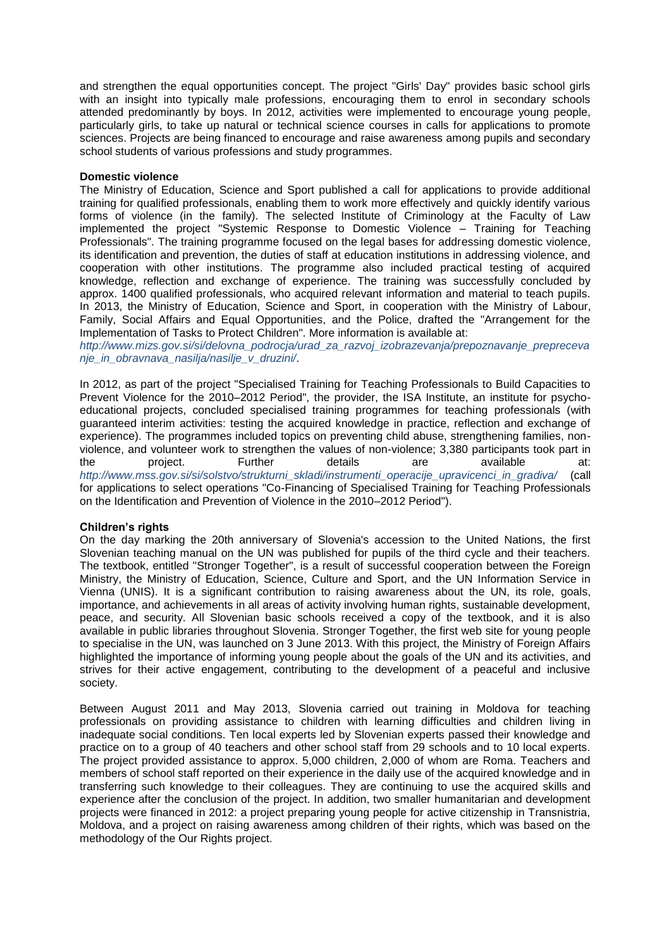and strengthen the equal opportunities concept. The project "Girls' Day" provides basic school girls with an insight into typically male professions, encouraging them to enrol in secondary schools attended predominantly by boys. In 2012, activities were implemented to encourage young people, particularly girls, to take up natural or technical science courses in calls for applications to promote sciences. Projects are being financed to encourage and raise awareness among pupils and secondary school students of various professions and study programmes.

#### **Domestic violence**

The Ministry of Education, Science and Sport published a call for applications to provide additional training for qualified professionals, enabling them to work more effectively and quickly identify various forms of violence (in the family). The selected Institute of Criminology at the Faculty of Law implemented the project "Systemic Response to Domestic Violence – Training for Teaching Professionals". The training programme focused on the legal bases for addressing domestic violence, its identification and prevention, the duties of staff at education institutions in addressing violence, and cooperation with other institutions. The programme also included practical testing of acquired knowledge, reflection and exchange of experience. The training was successfully concluded by approx. 1400 qualified professionals, who acquired relevant information and material to teach pupils. In 2013, the Ministry of Education, Science and Sport, in cooperation with the Ministry of Labour, Family, Social Affairs and Equal Opportunities, and the Police, drafted the "Arrangement for the Implementation of Tasks to Protect Children". More information is available at:

*[http://www.mizs.gov.si/si/delovna\\_podrocja/urad\\_za\\_razvoj\\_izobrazevanja/prepoznavanje\\_prepreceva](http://www.mizs.gov.si/si/delovna_podrocja/urad_za_razvoj_izobrazevanja/prepoznavanje_preprecevanje_in_obravnava_nasilja/nasilje_v_druzini/) [nje\\_in\\_obravnava\\_nasilja/nasilje\\_v\\_druzini/](http://www.mizs.gov.si/si/delovna_podrocja/urad_za_razvoj_izobrazevanja/prepoznavanje_preprecevanje_in_obravnava_nasilja/nasilje_v_druzini/)*.

In 2012, as part of the project "Specialised Training for Teaching Professionals to Build Capacities to Prevent Violence for the 2010–2012 Period", the provider, the ISA Institute, an institute for psychoeducational projects, concluded specialised training programmes for teaching professionals (with guaranteed interim activities: testing the acquired knowledge in practice, reflection and exchange of experience). The programmes included topics on preventing child abuse, strengthening families, nonviolence, and volunteer work to strengthen the values of non-violence; 3,380 participants took part in the project. Further details are available at: *[http://www.mss.gov.si/si/solstvo/strukturni\\_skladi/instrumenti\\_operacije\\_upravicenci\\_in\\_gradiva/](http://www.mss.gov.si/si/solstvo/strukturni_skladi/instrumenti_operacije_upravicenci_in_gradiva/)* (call for applications to select operations "Co-Financing of Specialised Training for Teaching Professionals on the Identification and Prevention of Violence in the 2010–2012 Period").

# **Children's rights**

On the day marking the 20th anniversary of Slovenia's accession to the United Nations, the first Slovenian teaching manual on the UN was published for pupils of the third cycle and their teachers. The textbook, entitled "Stronger Together", is a result of successful cooperation between the Foreign Ministry, the Ministry of Education, Science, Culture and Sport, and the UN Information Service in Vienna (UNIS). It is a significant contribution to raising awareness about the UN, its role, goals, importance, and achievements in all areas of activity involving human rights, sustainable development, peace, and security. All Slovenian basic schools received a copy of the textbook, and it is also available in public libraries throughout Slovenia. Stronger Together, the first web site for young people to specialise in the UN, was launched on 3 June 2013. With this project, the Ministry of Foreign Affairs highlighted the importance of informing young people about the goals of the UN and its activities, and strives for their active engagement, contributing to the development of a peaceful and inclusive society.

Between August 2011 and May 2013, Slovenia carried out training in Moldova for teaching professionals on providing assistance to children with learning difficulties and children living in inadequate social conditions. Ten local experts led by Slovenian experts passed their knowledge and practice on to a group of 40 teachers and other school staff from 29 schools and to 10 local experts. The project provided assistance to approx. 5,000 children, 2,000 of whom are Roma. Teachers and members of school staff reported on their experience in the daily use of the acquired knowledge and in transferring such knowledge to their colleagues. They are continuing to use the acquired skills and experience after the conclusion of the project. In addition, two smaller humanitarian and development projects were financed in 2012: a project preparing young people for active citizenship in Transnistria, Moldova, and a project on raising awareness among children of their rights, which was based on the methodology of the Our Rights project.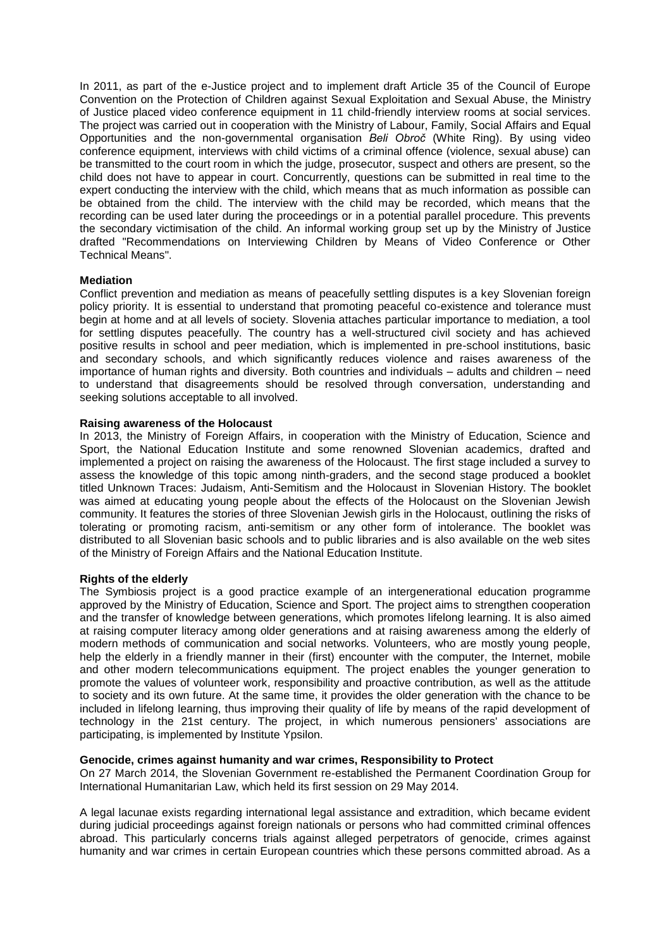In 2011, as part of the e-Justice project and to implement draft Article 35 of the Council of Europe Convention on the Protection of Children against Sexual Exploitation and Sexual Abuse, the Ministry of Justice placed video conference equipment in 11 child-friendly interview rooms at social services. The project was carried out in cooperation with the Ministry of Labour, Family, Social Affairs and Equal Opportunities and the non-governmental organisation *Beli Obroč* (White Ring). By using video conference equipment, interviews with child victims of a criminal offence (violence, sexual abuse) can be transmitted to the court room in which the judge, prosecutor, suspect and others are present, so the child does not have to appear in court. Concurrently, questions can be submitted in real time to the expert conducting the interview with the child, which means that as much information as possible can be obtained from the child. The interview with the child may be recorded, which means that the recording can be used later during the proceedings or in a potential parallel procedure. This prevents the secondary victimisation of the child. An informal working group set up by the Ministry of Justice drafted "Recommendations on Interviewing Children by Means of Video Conference or Other Technical Means".

# **Mediation**

Conflict prevention and mediation as means of peacefully settling disputes is a key Slovenian foreign policy priority. It is essential to understand that promoting peaceful co-existence and tolerance must begin at home and at all levels of society. Slovenia attaches particular importance to mediation, a tool for settling disputes peacefully. The country has a well-structured civil society and has achieved positive results in school and peer mediation, which is implemented in pre-school institutions, basic and secondary schools, and which significantly reduces violence and raises awareness of the importance of human rights and diversity. Both countries and individuals – adults and children – need to understand that disagreements should be resolved through conversation, understanding and seeking solutions acceptable to all involved.

# **Raising awareness of the Holocaust**

In 2013, the Ministry of Foreign Affairs, in cooperation with the Ministry of Education, Science and Sport, the National Education Institute and some renowned Slovenian academics, drafted and implemented a project on raising the awareness of the Holocaust. The first stage included a survey to assess the knowledge of this topic among ninth-graders, and the second stage produced a booklet titled Unknown Traces: Judaism, Anti-Semitism and the Holocaust in Slovenian History. The booklet was aimed at educating young people about the effects of the Holocaust on the Slovenian Jewish community. It features the stories of three Slovenian Jewish girls in the Holocaust, outlining the risks of tolerating or promoting racism, anti-semitism or any other form of intolerance. The booklet was distributed to all Slovenian basic schools and to public libraries and is also available on the web sites of the Ministry of Foreign Affairs and the National Education Institute.

# **Rights of the elderly**

The Symbiosis project is a good practice example of an intergenerational education programme approved by the Ministry of Education, Science and Sport. The project aims to strengthen cooperation and the transfer of knowledge between generations, which promotes lifelong learning. It is also aimed at raising computer literacy among older generations and at raising awareness among the elderly of modern methods of communication and social networks. Volunteers, who are mostly young people, help the elderly in a friendly manner in their (first) encounter with the computer, the Internet, mobile and other modern telecommunications equipment. The project enables the younger generation to promote the values of volunteer work, responsibility and proactive contribution, as well as the attitude to society and its own future. At the same time, it provides the older generation with the chance to be included in lifelong learning, thus improving their quality of life by means of the rapid development of technology in the 21st century. The project, in which numerous pensioners' associations are participating, is implemented by Institute Ypsilon.

# **Genocide, crimes against humanity and war crimes, Responsibility to Protect**

On 27 March 2014, the Slovenian Government re-established the Permanent Coordination Group for International Humanitarian Law, which held its first session on 29 May 2014.

A legal lacunae exists regarding international legal assistance and extradition, which became evident during judicial proceedings against foreign nationals or persons who had committed criminal offences abroad. This particularly concerns trials against alleged perpetrators of genocide, crimes against humanity and war crimes in certain European countries which these persons committed abroad. As a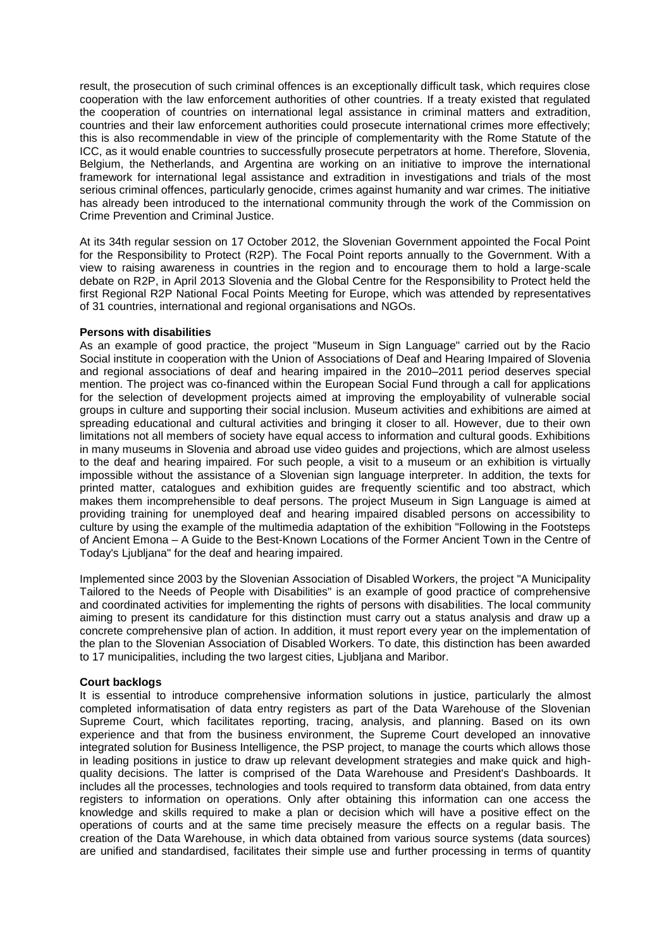result, the prosecution of such criminal offences is an exceptionally difficult task, which requires close cooperation with the law enforcement authorities of other countries. If a treaty existed that regulated the cooperation of countries on international legal assistance in criminal matters and extradition, countries and their law enforcement authorities could prosecute international crimes more effectively; this is also recommendable in view of the principle of complementarity with the Rome Statute of the ICC, as it would enable countries to successfully prosecute perpetrators at home. Therefore, Slovenia, Belgium, the Netherlands, and Argentina are working on an initiative to improve the international framework for international legal assistance and extradition in investigations and trials of the most serious criminal offences, particularly genocide, crimes against humanity and war crimes. The initiative has already been introduced to the international community through the work of the Commission on Crime Prevention and Criminal Justice.

At its 34th regular session on 17 October 2012, the Slovenian Government appointed the Focal Point for the Responsibility to Protect (R2P). The Focal Point reports annually to the Government. With a view to raising awareness in countries in the region and to encourage them to hold a large-scale debate on R2P, in April 2013 Slovenia and the Global Centre for the Responsibility to Protect held the first Regional R2P National Focal Points Meeting for Europe, which was attended by representatives of 31 countries, international and regional organisations and NGOs.

# **Persons with disabilities**

As an example of good practice, the project "Museum in Sign Language" carried out by the Racio Social institute in cooperation with the Union of Associations of Deaf and Hearing Impaired of Slovenia and regional associations of deaf and hearing impaired in the 2010–2011 period deserves special mention. The project was co-financed within the European Social Fund through a call for applications for the selection of development projects aimed at improving the employability of vulnerable social groups in culture and supporting their social inclusion. Museum activities and exhibitions are aimed at spreading educational and cultural activities and bringing it closer to all. However, due to their own limitations not all members of society have equal access to information and cultural goods. Exhibitions in many museums in Slovenia and abroad use video guides and projections, which are almost useless to the deaf and hearing impaired. For such people, a visit to a museum or an exhibition is virtually impossible without the assistance of a Slovenian sign language interpreter. In addition, the texts for printed matter, catalogues and exhibition guides are frequently scientific and too abstract, which makes them incomprehensible to deaf persons. The project Museum in Sign Language is aimed at providing training for unemployed deaf and hearing impaired disabled persons on accessibility to culture by using the example of the multimedia adaptation of the exhibition "Following in the Footsteps of Ancient Emona – A Guide to the Best-Known Locations of the Former Ancient Town in the Centre of Today's Ljubljana" for the deaf and hearing impaired.

Implemented since 2003 by the Slovenian Association of Disabled Workers, the project "A Municipality Tailored to the Needs of People with Disabilities" is an example of good practice of comprehensive and coordinated activities for implementing the rights of persons with disabilities. The local community aiming to present its candidature for this distinction must carry out a status analysis and draw up a concrete comprehensive plan of action. In addition, it must report every year on the implementation of the plan to the Slovenian Association of Disabled Workers. To date, this distinction has been awarded to 17 municipalities, including the two largest cities, Ljubljana and Maribor.

# **Court backlogs**

It is essential to introduce comprehensive information solutions in justice, particularly the almost completed informatisation of data entry registers as part of the Data Warehouse of the Slovenian Supreme Court, which facilitates reporting, tracing, analysis, and planning. Based on its own experience and that from the business environment, the Supreme Court developed an innovative integrated solution for Business Intelligence, the PSP project, to manage the courts which allows those in leading positions in justice to draw up relevant development strategies and make quick and highquality decisions. The latter is comprised of the Data Warehouse and President's Dashboards. It includes all the processes, technologies and tools required to transform data obtained, from data entry registers to information on operations. Only after obtaining this information can one access the knowledge and skills required to make a plan or decision which will have a positive effect on the operations of courts and at the same time precisely measure the effects on a regular basis. The creation of the Data Warehouse, in which data obtained from various source systems (data sources) are unified and standardised, facilitates their simple use and further processing in terms of quantity